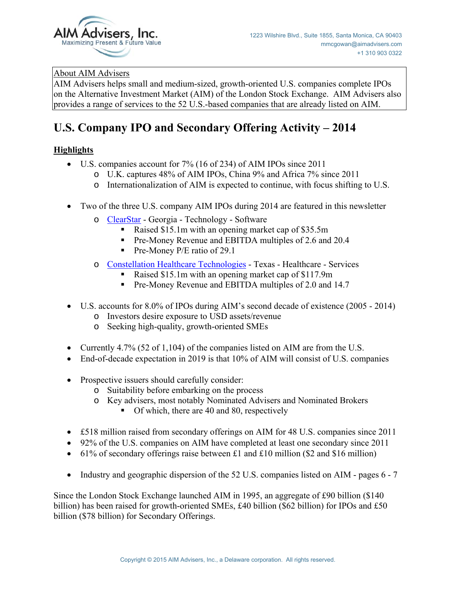

#### About AIM Advisers

AIM Advisers helps small and medium-sized, growth-oriented U.S. companies complete IPOs on the Alternative Investment Market (AIM) of the London Stock Exchange. AIM Advisers also provides a range of services to the 52 U.S.-based companies that are already listed on AIM.

# **U.S. Company IPO and Secondary Offering Activity – 2014**

### **Highlights**

- U.S. companies account for 7% (16 of 234) of AIM IPOs since 2011
	- o U.K. captures 48% of AIM IPOs, China 9% and Africa 7% since 2011
	- o Internationalization of AIM is expected to continue, with focus shifting to U.S.
- Two of the three U.S. company AIM IPOs during 2014 are featured in this newsletter
	- o [ClearStar](http://www.aimadvisers.com/files/us_aim_ipo_12.pdf) Georgia Technology Software
		- Raised \$15.1m with an opening market cap of \$35.5m
		- **Pre-Money Revenue and EBITDA multiples of 2.6 and 20.4**
		- Pre-Money P/E ratio of 29.1
	- o [Constellation Healthcare Technologies](http://www.aimadvisers.com/files/us_aim_ipo_13.pdf)  Texas Healthcare Services
		- Raised \$15.1m with an opening market cap of \$117.9m
		- **Pre-Money Revenue and EBITDA multiples of 2.0 and 14.7**
- U.S. accounts for 8.0% of IPOs during AIM's second decade of existence (2005 2014)
	- o Investors desire exposure to USD assets/revenue
	- o Seeking high-quality, growth-oriented SMEs
- Currently 4.7% (52 of 1,104) of the companies listed on AIM are from the U.S.
- End-of-decade expectation in 2019 is that 10% of AIM will consist of U.S. companies
- Prospective issuers should carefully consider:
	- o Suitability before embarking on the process
	- o Key advisers, most notably Nominated Advisers and Nominated Brokers
		- $\blacksquare$  Of which, there are 40 and 80, respectively
- £518 million raised from secondary offerings on AIM for 48 U.S. companies since 2011
- 92% of the U.S. companies on AIM have completed at least one secondary since 2011
- $\bullet$  61% of secondary offerings raise between £1 and £10 million (\$2 and \$16 million)
- Industry and geographic dispersion of the 52 U.S. companies listed on AIM pages 6 7

Since the London Stock Exchange launched AIM in 1995, an aggregate of £90 billion (\$140 billion) has been raised for growth-oriented SMEs, £40 billion (\$62 billion) for IPOs and £50 billion (\$78 billion) for Secondary Offerings.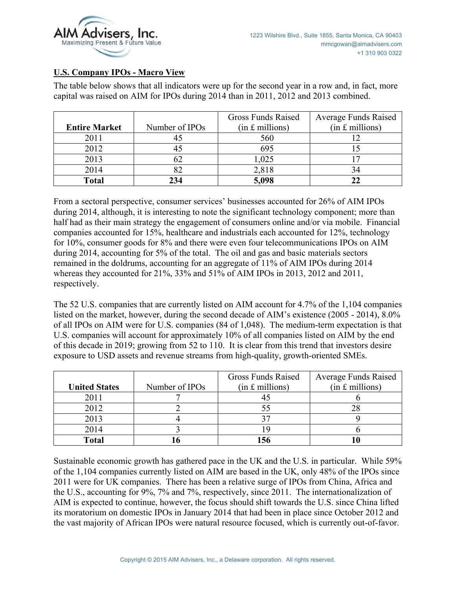

#### **U.S. Company IPOs - Macro View**

The table below shows that all indicators were up for the second year in a row and, in fact, more capital was raised on AIM for IPOs during 2014 than in 2011, 2012 and 2013 combined.

|                      |                | Gross Funds Raised | <b>Average Funds Raised</b> |
|----------------------|----------------|--------------------|-----------------------------|
| <b>Entire Market</b> | Number of IPOs | $(in f.$ millions) | $(in f.$ millions)          |
| 2011                 |                | 560                |                             |
| 2012                 |                | 695                |                             |
| 2013                 | 62             | 1,025              |                             |
| 2014                 |                | 2,818              | 34                          |
| <b>Total</b>         | 234            | 5,098              |                             |

From a sectoral perspective, consumer services' businesses accounted for 26% of AIM IPOs during 2014, although, it is interesting to note the significant technology component; more than half had as their main strategy the engagement of consumers online and/or via mobile. Financial companies accounted for 15%, healthcare and industrials each accounted for 12%, technology for 10%, consumer goods for 8% and there were even four telecommunications IPOs on AIM during 2014, accounting for 5% of the total. The oil and gas and basic materials sectors remained in the doldrums, accounting for an aggregate of 11% of AIM IPOs during 2014 whereas they accounted for 21%, 33% and 51% of AIM IPOs in 2013, 2012 and 2011, respectively.

The 52 U.S. companies that are currently listed on AIM account for 4.7% of the 1,104 companies listed on the market, however, during the second decade of AIM's existence (2005 - 2014), 8.0% of all IPOs on AIM were for U.S. companies (84 of 1,048). The medium-term expectation is that U.S. companies will account for approximately 10% of all companies listed on AIM by the end of this decade in 2019; growing from 52 to 110. It is clear from this trend that investors desire exposure to USD assets and revenue streams from high-quality, growth-oriented SMEs.

|                      |                | Gross Funds Raised | <b>Average Funds Raised</b> |
|----------------------|----------------|--------------------|-----------------------------|
| <b>United States</b> | Number of IPOs | $(in £$ millions)  | $(in £$ millions)           |
| 2011                 |                |                    |                             |
| 2012                 |                |                    |                             |
| 2013                 |                |                    |                             |
| 2014                 |                |                    |                             |
| Total                |                |                    |                             |

Sustainable economic growth has gathered pace in the UK and the U.S. in particular. While 59% of the 1,104 companies currently listed on AIM are based in the UK, only 48% of the IPOs since 2011 were for UK companies. There has been a relative surge of IPOs from China, Africa and the U.S., accounting for 9%, 7% and 7%, respectively, since 2011. The internationalization of AIM is expected to continue, however, the focus should shift towards the U.S. since China lifted its moratorium on domestic IPOs in January 2014 that had been in place since October 2012 and the vast majority of African IPOs were natural resource focused, which is currently out-of-favor.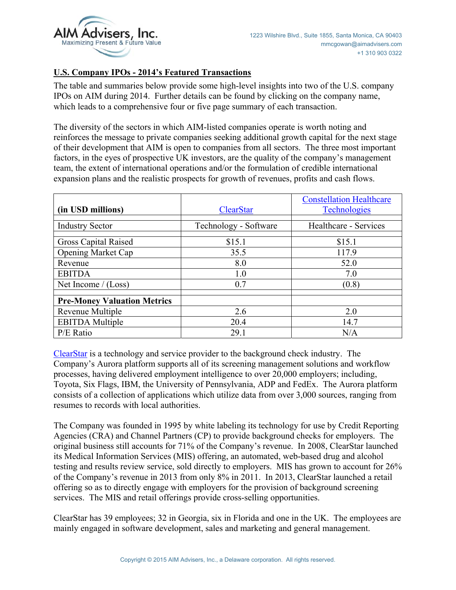

#### **U.S. Company IPOs - 2014's Featured Transactions**

The table and summaries below provide some high-level insights into two of the U.S. company IPOs on AIM during 2014. Further details can be found by clicking on the company name, which leads to a comprehensive four or five page summary of each transaction.

The diversity of the sectors in which AIM-listed companies operate is worth noting and reinforces the message to private companies seeking additional growth capital for the next stage of their development that AIM is open to companies from all sectors. The three most important factors, in the eyes of prospective UK investors, are the quality of the company's management team, the extent of international operations and/or the formulation of credible international expansion plans and the realistic prospects for growth of revenues, profits and cash flows.

|                                    |                       | <b>Constellation Healthcare</b> |
|------------------------------------|-----------------------|---------------------------------|
| (in USD millions)                  | <b>ClearStar</b>      | <b>Technologies</b>             |
| <b>Industry Sector</b>             | Technology - Software | Healthcare - Services           |
| Gross Capital Raised               | \$15.1                | \$15.1                          |
| <b>Opening Market Cap</b>          | 35.5                  | 117.9                           |
| Revenue                            | 8.0                   | 52.0                            |
| <b>EBITDA</b>                      | 1.0                   | 7.0                             |
| Net Income $/(Loss)$               | 0.7                   | (0.8)                           |
| <b>Pre-Money Valuation Metrics</b> |                       |                                 |
| Revenue Multiple                   | 2.6                   | 2.0                             |
| <b>EBITDA</b> Multiple             | 20.4                  | 14.7                            |
| P/E Ratio                          | 29.1                  | N/A                             |

[ClearStar](http://www.aimadvisers.com/files/us_aim_ipo_12.pdf) is a technology and service provider to the background check industry. The Company's Aurora platform supports all of its screening management solutions and workflow processes, having delivered employment intelligence to over 20,000 employers; including, Toyota, Six Flags, IBM, the University of Pennsylvania, ADP and FedEx. The Aurora platform consists of a collection of applications which utilize data from over 3,000 sources, ranging from resumes to records with local authorities.

The Company was founded in 1995 by white labeling its technology for use by Credit Reporting Agencies (CRA) and Channel Partners (CP) to provide background checks for employers. The original business still accounts for 71% of the Company's revenue. In 2008, ClearStar launched its Medical Information Services (MIS) offering, an automated, web-based drug and alcohol testing and results review service, sold directly to employers. MIS has grown to account for 26% of the Company's revenue in 2013 from only 8% in 2011. In 2013, ClearStar launched a retail offering so as to directly engage with employers for the provision of background screening services. The MIS and retail offerings provide cross-selling opportunities.

ClearStar has 39 employees; 32 in Georgia, six in Florida and one in the UK. The employees are mainly engaged in software development, sales and marketing and general management.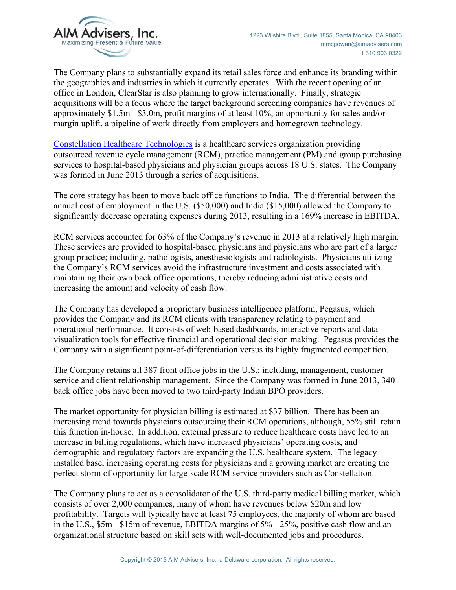

The Company plans to substantially expand its retail sales force and enhance its branding within the geographies and industries in which it currently operates. With the recent opening of an office in London, ClearStar is also planning to grow internationally. Finally, strategic acquisitions will be a focus where the target background screening companies have revenues of approximately \$1.5m - \$3.0m, profit margins of at least 10%, an opportunity for sales and/or margin uplift, a pipeline of work directly from employers and homegrown technology.

[Constellation Healthcare Technologies](http://www.aimadvisers.com/files/us_aim_ipo_13.pdf) is a healthcare services organization providing outsourced revenue cycle management (RCM), practice management (PM) and group purchasing services to hospital-based physicians and physician groups across 18 U.S. states. The Company was formed in June 2013 through a series of acquisitions.

The core strategy has been to move back office functions to India. The differential between the annual cost of employment in the U.S. (\$50,000) and India (\$15,000) allowed the Company to significantly decrease operating expenses during 2013, resulting in a 169% increase in EBITDA.

RCM services accounted for 63% of the Company's revenue in 2013 at a relatively high margin. These services are provided to hospital-based physicians and physicians who are part of a larger group practice; including, pathologists, anesthesiologists and radiologists. Physicians utilizing the Company's RCM services avoid the infrastructure investment and costs associated with maintaining their own back office operations, thereby reducing administrative costs and increasing the amount and velocity of cash flow.

The Company has developed a proprietary business intelligence platform, Pegasus, which provides the Company and its RCM clients with transparency relating to payment and operational performance. It consists of web-based dashboards, interactive reports and data visualization tools for effective financial and operational decision making. Pegasus provides the Company with a significant point-of-differentiation versus its highly fragmented competition.

The Company retains all 387 front office jobs in the U.S.; including, management, customer service and client relationship management. Since the Company was formed in June 2013, 340 back office jobs have been moved to two third-party Indian BPO providers.

The market opportunity for physician billing is estimated at \$37 billion. There has been an increasing trend towards physicians outsourcing their RCM operations, although, 55% still retain this function in-house. In addition, external pressure to reduce healthcare costs have led to an increase in billing regulations, which have increased physicians' operating costs, and demographic and regulatory factors are expanding the U.S. healthcare system. The legacy installed base, increasing operating costs for physicians and a growing market are creating the perfect storm of opportunity for large-scale RCM service providers such as Constellation.

The Company plans to act as a consolidator of the U.S. third-party medical billing market, which consists of over 2,000 companies, many of whom have revenues below \$20m and low profitability. Targets will typically have at least 75 employees, the majority of whom are based in the U.S., \$5m - \$15m of revenue, EBITDA margins of 5% - 25%, positive cash flow and an organizational structure based on skill sets with well-documented jobs and procedures.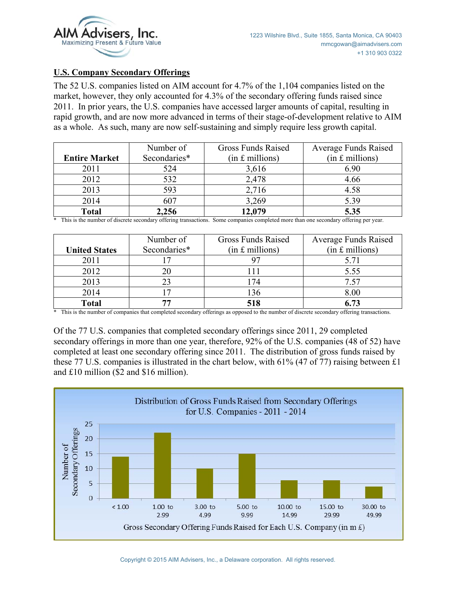

#### **U.S. Company Secondary Offerings**

The 52 U.S. companies listed on AIM account for 4.7% of the 1,104 companies listed on the market, however, they only accounted for 4.3% of the secondary offering funds raised since 2011. In prior years, the U.S. companies have accessed larger amounts of capital, resulting in rapid growth, and are now more advanced in terms of their stage-of-development relative to AIM as a whole. As such, many are now self-sustaining and simply require less growth capital.

|                      | Number of    | Gross Funds Raised | <b>Average Funds Raised</b> |
|----------------------|--------------|--------------------|-----------------------------|
| <b>Entire Market</b> | Secondaries* | $(in £$ millions)  | $(in f.$ millions)          |
| 2011                 | 524          | 3,616              | 6.90                        |
| 2012                 | 532          | 2,478              | 4.66                        |
| 2013                 | 593          | 2,716              | 4.58                        |
| 2014                 | 607          | 3,269              | 5.39                        |
| <b>Total</b>         | 2,256        | 12,079             | 5.35                        |

\* This is the number of discrete secondary offering transactions. Some companies completed more than one secondary offering per year.

|                      | Number of    | Gross Funds Raised | <b>Average Funds Raised</b> |
|----------------------|--------------|--------------------|-----------------------------|
| <b>United States</b> | Secondaries* | $(in £$ millions)  | $(in f.$ millions)          |
| 2011                 |              |                    | 5.71                        |
| 2012                 | 20           | 11                 | 5.55                        |
| 2013                 | 23           | 174                | 7.57                        |
| 2014                 |              | 136                | 8.00                        |
| <b>Total</b>         | 77           | 518                | ና 73                        |

\* This is the number of companies that completed secondary offerings as opposed to the number of discrete secondary offering transactions.

Of the 77 U.S. companies that completed secondary offerings since 2011, 29 completed secondary offerings in more than one year, therefore, 92% of the U.S. companies (48 of 52) have completed at least one secondary offering since 2011. The distribution of gross funds raised by these 77 U.S. companies is illustrated in the chart below, with 61% (47 of 77) raising between £1 and £10 million (\$2 and \$16 million).

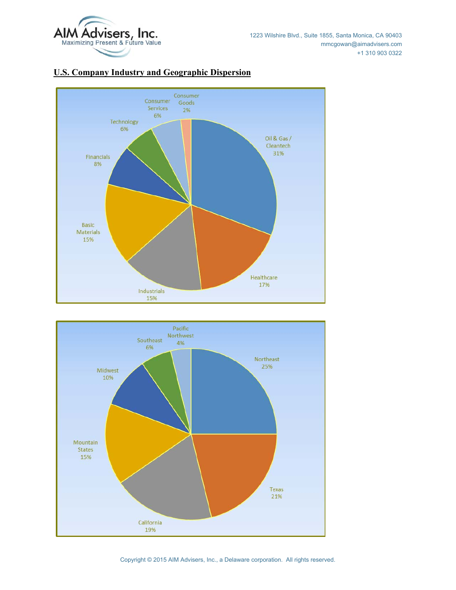



## **U.S. Company Industry and Geographic Dispersion**